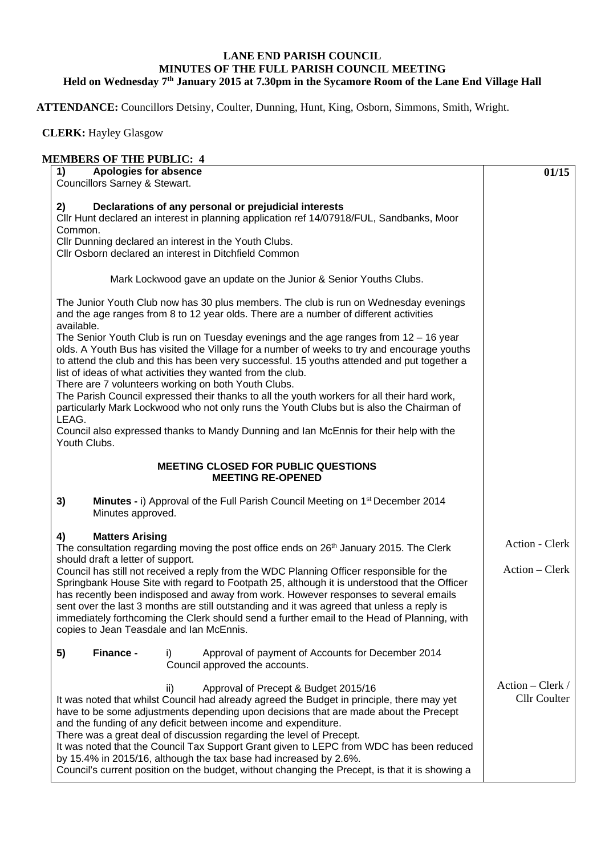## **LANE END PARISH COUNCIL MINUTES OF THE FULL PARISH COUNCIL MEETING Held on Wednesday 7th January 2015 at 7.30pm in the Sycamore Room of the Lane End Village Hall**

**ATTENDANCE:** Councillors Detsiny, Coulter, Dunning, Hunt, King, Osborn, Simmons, Smith, Wright.

 **CLERK:** Hayley Glasgow

## **MEMBERS OF THE PUBLIC: 4**

| евремя от тиет срета, г<br>1)<br><b>Apologies for absence</b>                                                                                                                                                                                                                                                                                      | 01/15            |
|----------------------------------------------------------------------------------------------------------------------------------------------------------------------------------------------------------------------------------------------------------------------------------------------------------------------------------------------------|------------------|
| Councillors Sarney & Stewart.                                                                                                                                                                                                                                                                                                                      |                  |
|                                                                                                                                                                                                                                                                                                                                                    |                  |
| Declarations of any personal or prejudicial interests<br>2)                                                                                                                                                                                                                                                                                        |                  |
| Cllr Hunt declared an interest in planning application ref 14/07918/FUL, Sandbanks, Moor<br>Common.                                                                                                                                                                                                                                                |                  |
| Cllr Dunning declared an interest in the Youth Clubs.                                                                                                                                                                                                                                                                                              |                  |
| Cllr Osborn declared an interest in Ditchfield Common                                                                                                                                                                                                                                                                                              |                  |
|                                                                                                                                                                                                                                                                                                                                                    |                  |
| Mark Lockwood gave an update on the Junior & Senior Youths Clubs.                                                                                                                                                                                                                                                                                  |                  |
| The Junior Youth Club now has 30 plus members. The club is run on Wednesday evenings<br>and the age ranges from 8 to 12 year olds. There are a number of different activities                                                                                                                                                                      |                  |
| available.                                                                                                                                                                                                                                                                                                                                         |                  |
| The Senior Youth Club is run on Tuesday evenings and the age ranges from 12 - 16 year<br>olds. A Youth Bus has visited the Village for a number of weeks to try and encourage youths<br>to attend the club and this has been very successful. 15 youths attended and put together a<br>list of ideas of what activities they wanted from the club. |                  |
| There are 7 volunteers working on both Youth Clubs.                                                                                                                                                                                                                                                                                                |                  |
| The Parish Council expressed their thanks to all the youth workers for all their hard work,                                                                                                                                                                                                                                                        |                  |
| particularly Mark Lockwood who not only runs the Youth Clubs but is also the Chairman of                                                                                                                                                                                                                                                           |                  |
| LEAG.<br>Council also expressed thanks to Mandy Dunning and Ian McEnnis for their help with the                                                                                                                                                                                                                                                    |                  |
| Youth Clubs.                                                                                                                                                                                                                                                                                                                                       |                  |
| <b>MEETING CLOSED FOR PUBLIC QUESTIONS</b><br><b>MEETING RE-OPENED</b>                                                                                                                                                                                                                                                                             |                  |
| 3)<br>Minutes - i) Approval of the Full Parish Council Meeting on 1 <sup>st</sup> December 2014<br>Minutes approved.                                                                                                                                                                                                                               |                  |
| <b>Matters Arising</b><br>4)                                                                                                                                                                                                                                                                                                                       |                  |
| The consultation regarding moving the post office ends on 26 <sup>th</sup> January 2015. The Clerk<br>should draft a letter of support.                                                                                                                                                                                                            | Action - Clerk   |
| Council has still not received a reply from the WDC Planning Officer responsible for the                                                                                                                                                                                                                                                           | Action – Clerk   |
| Springbank House Site with regard to Footpath 25, although it is understood that the Officer                                                                                                                                                                                                                                                       |                  |
| has recently been indisposed and away from work. However responses to several emails                                                                                                                                                                                                                                                               |                  |
| sent over the last 3 months are still outstanding and it was agreed that unless a reply is                                                                                                                                                                                                                                                         |                  |
| immediately forthcoming the Clerk should send a further email to the Head of Planning, with<br>copies to Jean Teasdale and Ian McEnnis.                                                                                                                                                                                                            |                  |
|                                                                                                                                                                                                                                                                                                                                                    |                  |
| 5)<br>Finance -<br>Approval of payment of Accounts for December 2014<br>i)<br>Council approved the accounts.                                                                                                                                                                                                                                       |                  |
| ii)<br>Approval of Precept & Budget 2015/16                                                                                                                                                                                                                                                                                                        | Action – Clerk / |
| It was noted that whilst Council had already agreed the Budget in principle, there may yet                                                                                                                                                                                                                                                         | Cllr Coulter     |
| have to be some adjustments depending upon decisions that are made about the Precept                                                                                                                                                                                                                                                               |                  |
| and the funding of any deficit between income and expenditure.                                                                                                                                                                                                                                                                                     |                  |
| There was a great deal of discussion regarding the level of Precept.                                                                                                                                                                                                                                                                               |                  |
| It was noted that the Council Tax Support Grant given to LEPC from WDC has been reduced                                                                                                                                                                                                                                                            |                  |
| by 15.4% in 2015/16, although the tax base had increased by 2.6%.<br>Council's current position on the budget, without changing the Precept, is that it is showing a                                                                                                                                                                               |                  |
|                                                                                                                                                                                                                                                                                                                                                    |                  |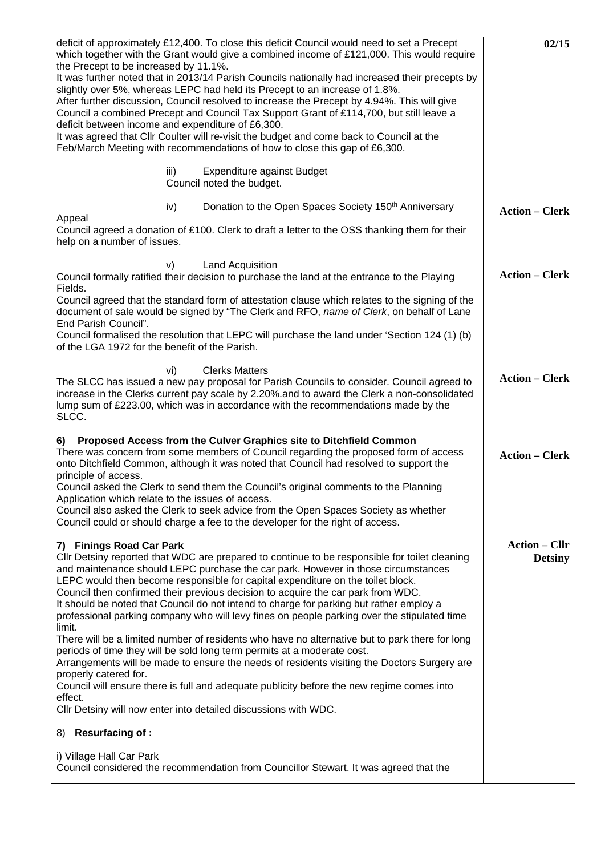| deficit of approximately £12,400. To close this deficit Council would need to set a Precept<br>which together with the Grant would give a combined income of £121,000. This would require<br>the Precept to be increased by 11.1%.<br>It was further noted that in 2013/14 Parish Councils nationally had increased their precepts by<br>slightly over 5%, whereas LEPC had held its Precept to an increase of 1.8%.<br>After further discussion, Council resolved to increase the Precept by 4.94%. This will give<br>Council a combined Precept and Council Tax Support Grant of £114,700, but still leave a<br>deficit between income and expenditure of £6,300.<br>It was agreed that CIIr Coulter will re-visit the budget and come back to Council at the<br>Feb/March Meeting with recommendations of how to close this gap of £6,300. | 02/15                                  |
|-----------------------------------------------------------------------------------------------------------------------------------------------------------------------------------------------------------------------------------------------------------------------------------------------------------------------------------------------------------------------------------------------------------------------------------------------------------------------------------------------------------------------------------------------------------------------------------------------------------------------------------------------------------------------------------------------------------------------------------------------------------------------------------------------------------------------------------------------|----------------------------------------|
| Expenditure against Budget<br>iii)<br>Council noted the budget.                                                                                                                                                                                                                                                                                                                                                                                                                                                                                                                                                                                                                                                                                                                                                                               |                                        |
| Donation to the Open Spaces Society 150 <sup>th</sup> Anniversary<br>iv)<br>Appeal<br>Council agreed a donation of £100. Clerk to draft a letter to the OSS thanking them for their<br>help on a number of issues.                                                                                                                                                                                                                                                                                                                                                                                                                                                                                                                                                                                                                            | <b>Action – Clerk</b>                  |
| Land Acquisition<br>V)<br>Council formally ratified their decision to purchase the land at the entrance to the Playing<br>Fields.                                                                                                                                                                                                                                                                                                                                                                                                                                                                                                                                                                                                                                                                                                             | <b>Action – Clerk</b>                  |
| Council agreed that the standard form of attestation clause which relates to the signing of the<br>document of sale would be signed by "The Clerk and RFO, name of Clerk, on behalf of Lane<br>End Parish Council".<br>Council formalised the resolution that LEPC will purchase the land under 'Section 124 (1) (b)<br>of the LGA 1972 for the benefit of the Parish.                                                                                                                                                                                                                                                                                                                                                                                                                                                                        |                                        |
| <b>Clerks Matters</b><br>vi)<br>The SLCC has issued a new pay proposal for Parish Councils to consider. Council agreed to<br>increase in the Clerks current pay scale by 2.20% and to award the Clerk a non-consolidated<br>lump sum of £223.00, which was in accordance with the recommendations made by the<br>SLCC.                                                                                                                                                                                                                                                                                                                                                                                                                                                                                                                        | <b>Action – Clerk</b>                  |
| Proposed Access from the Culver Graphics site to Ditchfield Common<br>6)<br>There was concern from some members of Council regarding the proposed form of access<br>onto Ditchfield Common, although it was noted that Council had resolved to support the<br>principle of access.<br>Council asked the Clerk to send them the Council's original comments to the Planning<br>Application which relate to the issues of access.<br>Council also asked the Clerk to seek advice from the Open Spaces Society as whether<br>Council could or should charge a fee to the developer for the right of access.                                                                                                                                                                                                                                      | <b>Action – Clerk</b>                  |
| 7) Finings Road Car Park<br>CIIr Detsiny reported that WDC are prepared to continue to be responsible for toilet cleaning<br>and maintenance should LEPC purchase the car park. However in those circumstances<br>LEPC would then become responsible for capital expenditure on the toilet block.<br>Council then confirmed their previous decision to acquire the car park from WDC.<br>It should be noted that Council do not intend to charge for parking but rather employ a<br>professional parking company who will levy fines on people parking over the stipulated time<br>limit.                                                                                                                                                                                                                                                     | <b>Action - Cllr</b><br><b>Detsiny</b> |
| There will be a limited number of residents who have no alternative but to park there for long<br>periods of time they will be sold long term permits at a moderate cost.<br>Arrangements will be made to ensure the needs of residents visiting the Doctors Surgery are<br>properly catered for.<br>Council will ensure there is full and adequate publicity before the new regime comes into<br>effect.                                                                                                                                                                                                                                                                                                                                                                                                                                     |                                        |
| Cllr Detsiny will now enter into detailed discussions with WDC.<br>Resurfacing of:<br>8)                                                                                                                                                                                                                                                                                                                                                                                                                                                                                                                                                                                                                                                                                                                                                      |                                        |
| i) Village Hall Car Park<br>Council considered the recommendation from Councillor Stewart. It was agreed that the                                                                                                                                                                                                                                                                                                                                                                                                                                                                                                                                                                                                                                                                                                                             |                                        |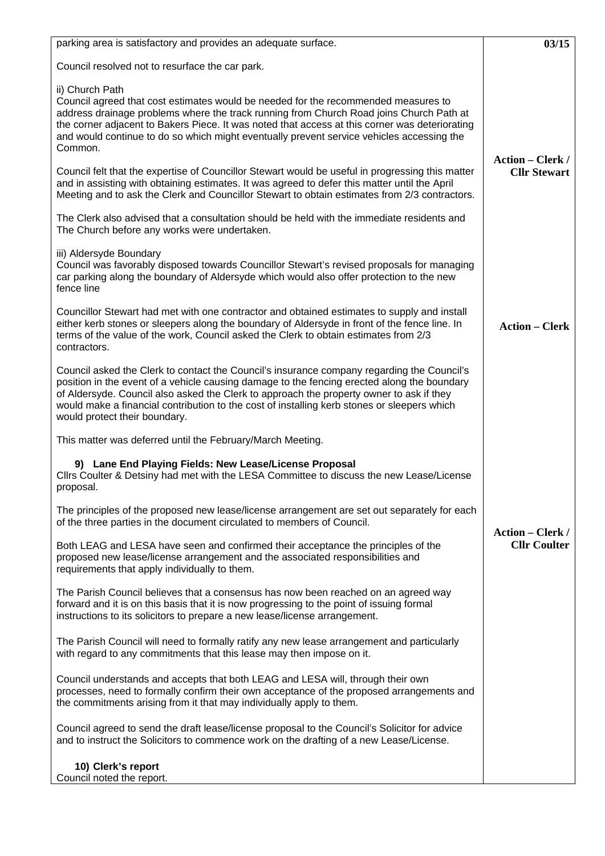| parking area is satisfactory and provides an adequate surface.                                                                                                                                                                                                                                                                                                                                                        | 03/15                   |
|-----------------------------------------------------------------------------------------------------------------------------------------------------------------------------------------------------------------------------------------------------------------------------------------------------------------------------------------------------------------------------------------------------------------------|-------------------------|
| Council resolved not to resurface the car park.                                                                                                                                                                                                                                                                                                                                                                       |                         |
| ii) Church Path<br>Council agreed that cost estimates would be needed for the recommended measures to<br>address drainage problems where the track running from Church Road joins Church Path at<br>the corner adjacent to Bakers Piece. It was noted that access at this corner was deteriorating<br>and would continue to do so which might eventually prevent service vehicles accessing the<br>Common.            | <b>Action – Clerk /</b> |
| Council felt that the expertise of Councillor Stewart would be useful in progressing this matter<br>and in assisting with obtaining estimates. It was agreed to defer this matter until the April<br>Meeting and to ask the Clerk and Councillor Stewart to obtain estimates from 2/3 contractors.                                                                                                                    | <b>Cllr Stewart</b>     |
| The Clerk also advised that a consultation should be held with the immediate residents and<br>The Church before any works were undertaken.                                                                                                                                                                                                                                                                            |                         |
| iii) Aldersyde Boundary<br>Council was favorably disposed towards Councillor Stewart's revised proposals for managing<br>car parking along the boundary of Aldersyde which would also offer protection to the new<br>fence line                                                                                                                                                                                       |                         |
| Councillor Stewart had met with one contractor and obtained estimates to supply and install<br>either kerb stones or sleepers along the boundary of Aldersyde in front of the fence line. In<br>terms of the value of the work, Council asked the Clerk to obtain estimates from 2/3<br>contractors.                                                                                                                  | <b>Action – Clerk</b>   |
| Council asked the Clerk to contact the Council's insurance company regarding the Council's<br>position in the event of a vehicle causing damage to the fencing erected along the boundary<br>of Aldersyde. Council also asked the Clerk to approach the property owner to ask if they<br>would make a financial contribution to the cost of installing kerb stones or sleepers which<br>would protect their boundary. |                         |
| This matter was deferred until the February/March Meeting.                                                                                                                                                                                                                                                                                                                                                            |                         |
| 9) Lane End Playing Fields: New Lease/License Proposal<br>Cllrs Coulter & Detsiny had met with the LESA Committee to discuss the new Lease/License<br>proposal.                                                                                                                                                                                                                                                       |                         |
| The principles of the proposed new lease/license arrangement are set out separately for each<br>of the three parties in the document circulated to members of Council.                                                                                                                                                                                                                                                | <b>Action – Clerk /</b> |
| Both LEAG and LESA have seen and confirmed their acceptance the principles of the<br>proposed new lease/license arrangement and the associated responsibilities and<br>requirements that apply individually to them.                                                                                                                                                                                                  | <b>Cllr Coulter</b>     |
| The Parish Council believes that a consensus has now been reached on an agreed way<br>forward and it is on this basis that it is now progressing to the point of issuing formal<br>instructions to its solicitors to prepare a new lease/license arrangement.                                                                                                                                                         |                         |
| The Parish Council will need to formally ratify any new lease arrangement and particularly<br>with regard to any commitments that this lease may then impose on it.                                                                                                                                                                                                                                                   |                         |
| Council understands and accepts that both LEAG and LESA will, through their own<br>processes, need to formally confirm their own acceptance of the proposed arrangements and<br>the commitments arising from it that may individually apply to them.                                                                                                                                                                  |                         |
| Council agreed to send the draft lease/license proposal to the Council's Solicitor for advice<br>and to instruct the Solicitors to commence work on the drafting of a new Lease/License.                                                                                                                                                                                                                              |                         |
| 10) Clerk's report<br>Council noted the report.                                                                                                                                                                                                                                                                                                                                                                       |                         |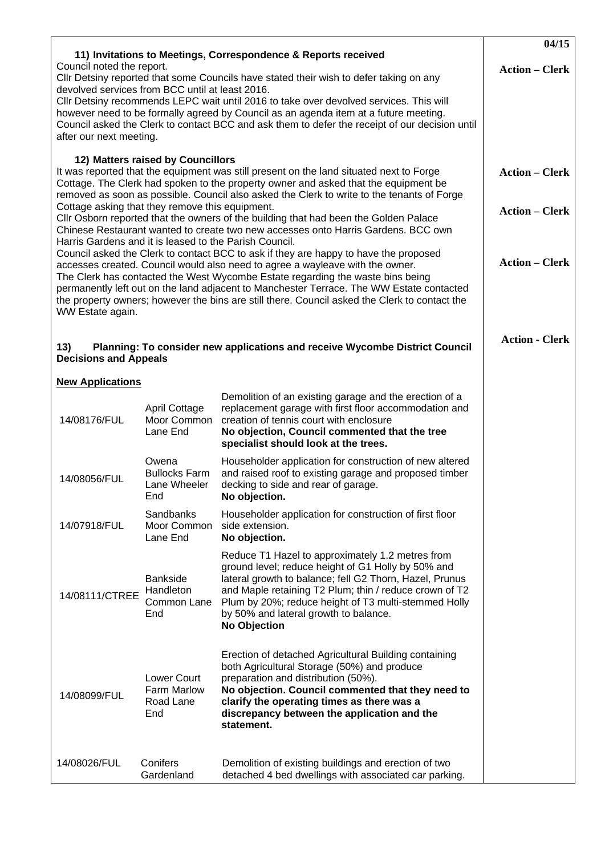|                                                                                                                                                                                                                                                                                                                                                                                                                                                                                                                                                                                                                                                                                                                                                                                                                                                                                                                                                                                                                                                                                                                                                                    |                                                       | 11) Invitations to Meetings, Correspondence & Reports received                                                                                                                                                                                                                                                                               | 04/15                 |  |  |
|--------------------------------------------------------------------------------------------------------------------------------------------------------------------------------------------------------------------------------------------------------------------------------------------------------------------------------------------------------------------------------------------------------------------------------------------------------------------------------------------------------------------------------------------------------------------------------------------------------------------------------------------------------------------------------------------------------------------------------------------------------------------------------------------------------------------------------------------------------------------------------------------------------------------------------------------------------------------------------------------------------------------------------------------------------------------------------------------------------------------------------------------------------------------|-------------------------------------------------------|----------------------------------------------------------------------------------------------------------------------------------------------------------------------------------------------------------------------------------------------------------------------------------------------------------------------------------------------|-----------------------|--|--|
| Council noted the report.<br>Cllr Detsiny reported that some Councils have stated their wish to defer taking on any<br>devolved services from BCC until at least 2016.<br>Cllr Detsiny recommends LEPC wait until 2016 to take over devolved services. This will<br>however need to be formally agreed by Council as an agenda item at a future meeting.<br>Council asked the Clerk to contact BCC and ask them to defer the receipt of our decision until<br>after our next meeting.                                                                                                                                                                                                                                                                                                                                                                                                                                                                                                                                                                                                                                                                              | <b>Action – Clerk</b>                                 |                                                                                                                                                                                                                                                                                                                                              |                       |  |  |
| 12) Matters raised by Councillors<br>It was reported that the equipment was still present on the land situated next to Forge<br><b>Action – Clerk</b><br>Cottage. The Clerk had spoken to the property owner and asked that the equipment be<br>removed as soon as possible. Council also asked the Clerk to write to the tenants of Forge<br>Cottage asking that they remove this equipment.<br><b>Action – Clerk</b><br>Cllr Osborn reported that the owners of the building that had been the Golden Palace<br>Chinese Restaurant wanted to create two new accesses onto Harris Gardens. BCC own<br>Harris Gardens and it is leased to the Parish Council.<br>Council asked the Clerk to contact BCC to ask if they are happy to have the proposed<br><b>Action – Clerk</b><br>accesses created. Council would also need to agree a wayleave with the owner.<br>The Clerk has contacted the West Wycombe Estate regarding the waste bins being<br>permanently left out on the land adjacent to Manchester Terrace. The WW Estate contacted<br>the property owners; however the bins are still there. Council asked the Clerk to contact the<br>WW Estate again. |                                                       |                                                                                                                                                                                                                                                                                                                                              |                       |  |  |
| Planning: To consider new applications and receive Wycombe District Council<br>13)<br><b>Decisions and Appeals</b>                                                                                                                                                                                                                                                                                                                                                                                                                                                                                                                                                                                                                                                                                                                                                                                                                                                                                                                                                                                                                                                 |                                                       |                                                                                                                                                                                                                                                                                                                                              | <b>Action - Clerk</b> |  |  |
| <b>New Applications</b>                                                                                                                                                                                                                                                                                                                                                                                                                                                                                                                                                                                                                                                                                                                                                                                                                                                                                                                                                                                                                                                                                                                                            |                                                       |                                                                                                                                                                                                                                                                                                                                              |                       |  |  |
| 14/08176/FUL                                                                                                                                                                                                                                                                                                                                                                                                                                                                                                                                                                                                                                                                                                                                                                                                                                                                                                                                                                                                                                                                                                                                                       | April Cottage<br>Moor Common<br>Lane End              | Demolition of an existing garage and the erection of a<br>replacement garage with first floor accommodation and<br>creation of tennis court with enclosure<br>No objection, Council commented that the tree<br>specialist should look at the trees.                                                                                          |                       |  |  |
| 14/08056/FUL                                                                                                                                                                                                                                                                                                                                                                                                                                                                                                                                                                                                                                                                                                                                                                                                                                                                                                                                                                                                                                                                                                                                                       | Owena<br><b>Bullocks Farm</b><br>Lane Wheeler<br>End  | Householder application for construction of new altered<br>and raised roof to existing garage and proposed timber<br>decking to side and rear of garage.<br>No objection.                                                                                                                                                                    |                       |  |  |
| 14/07918/FUL                                                                                                                                                                                                                                                                                                                                                                                                                                                                                                                                                                                                                                                                                                                                                                                                                                                                                                                                                                                                                                                                                                                                                       | Sandbanks<br>Moor Common<br>Lane End                  | Householder application for construction of first floor<br>side extension.<br>No objection.                                                                                                                                                                                                                                                  |                       |  |  |
| 14/08111/CTREE                                                                                                                                                                                                                                                                                                                                                                                                                                                                                                                                                                                                                                                                                                                                                                                                                                                                                                                                                                                                                                                                                                                                                     | <b>Bankside</b><br>Handleton<br>Common Lane<br>End    | Reduce T1 Hazel to approximately 1.2 metres from<br>ground level; reduce height of G1 Holly by 50% and<br>lateral growth to balance; fell G2 Thorn, Hazel, Prunus<br>and Maple retaining T2 Plum; thin / reduce crown of T2<br>Plum by 20%; reduce height of T3 multi-stemmed Holly<br>by 50% and lateral growth to balance.<br>No Objection |                       |  |  |
| 14/08099/FUL                                                                                                                                                                                                                                                                                                                                                                                                                                                                                                                                                                                                                                                                                                                                                                                                                                                                                                                                                                                                                                                                                                                                                       | Lower Court<br><b>Farm Marlow</b><br>Road Lane<br>End | Erection of detached Agricultural Building containing<br>both Agricultural Storage (50%) and produce<br>preparation and distribution (50%).<br>No objection. Council commented that they need to<br>clarify the operating times as there was a<br>discrepancy between the application and the<br>statement.                                  |                       |  |  |
| 14/08026/FUL                                                                                                                                                                                                                                                                                                                                                                                                                                                                                                                                                                                                                                                                                                                                                                                                                                                                                                                                                                                                                                                                                                                                                       | Conifers<br>Gardenland                                | Demolition of existing buildings and erection of two<br>detached 4 bed dwellings with associated car parking.                                                                                                                                                                                                                                |                       |  |  |